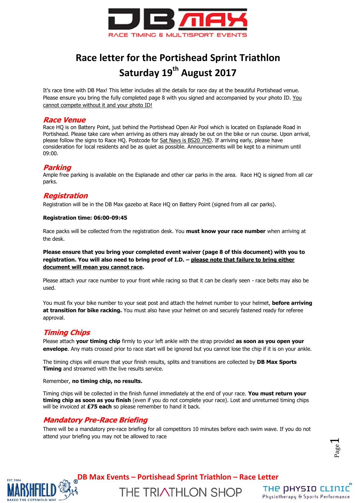

# **Race letter for the Portishead Sprint Triathlon Saturday 19th August 2017**

It's race time with DB Max! This letter includes all the details for race day at the beautiful Portishead venue. Please ensure you bring the fully completed page 8 with you signed and accompanied by your photo ID. You cannot compete without it and your photo ID!

#### **Race Venue**

Race HQ is on Battery Point, just behind the Portishead Open Air Pool which is located on Esplanade Road in Portishead. Please take care when arriving as others may already be out on the bike or run course. Upon arrival, please follow the signs to Race HQ. Postcode for Sat Navs is BS20 7HD. If arriving early, please have consideration for local residents and be as quiet as possible. Announcements will be kept to a minimum until 09:00.

#### **Parking**

Ample free parking is available on the Esplanade and other car parks in the area. Race HQ is signed from all car parks.

### **Registration**

Registration will be in the DB Max gazebo at Race HQ on Battery Point (signed from all car parks).

#### **Registration time: 06:00-09:45**

Race packs will be collected from the registration desk. You **must know your race number** when arriving at the desk.

#### **Please ensure that you bring your completed event waiver (page 8 of this document) with you to registration. You will also need to bring proof of I.D. – please note that failure to bring either document will mean you cannot race.**

Please attach your race number to your front while racing so that it can be clearly seen - race belts may also be used.

You must fix your bike number to your seat post and attach the helmet number to your helmet, **before arriving at transition for bike racking.** You must also have your helmet on and securely fastened ready for referee approval.

# **Timing Chips**

Please attach **your timing chip** firmly to your left ankle with the strap provided **as soon as you open your envelope**. Any mats crossed prior to race start will be ignored but you cannot lose the chip if it is on your ankle.

The timing chips will ensure that your finish results, splits and transitions are collected by **DB Max Sports Timing** and streamed with the live results service.

#### Remember, **no timing chip, no results.**

Timing chips will be collected in the finish funnel immediately at the end of your race. **You must return your timing chip as soon as you finish** (even if you do not complete your race). Lost and unreturned timing chips will be invoiced at **£75 each** so please remember to hand it back.

### **Mandatory Pre-Race Briefing**

There will be a mandatory pre-race briefing for all competitors 10 minutes before each swim wave. If you do not attend your briefing you may not be allowed to race

Page  $\overline{\phantom{0}}$ 



**DB Max Events – Portishead Sprint Triathlon – Race Letter**

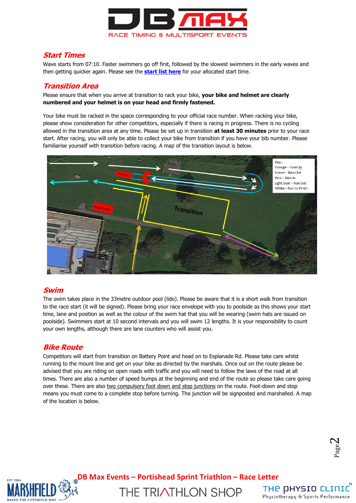

#### **Start Times**

Wave starts from 07:10. Faster swimmers go off first, followed by the slowest swimmers in the early waves and then getting quicker again. Please see the **[start list here](http://dbmaxresults.co.uk/results.aspx?CId=16421&RId=4119)** for your allocated start time.

### **Transition Area**

Please ensure that when you arrive at transition to rack your bike, **your bike and helmet are clearly numbered and your helmet is on your head and firmly fastened.**

Your bike must be racked in the space corresponding to your official race number. When racking your bike, please show consideration for other competitors, especially if there is racing in progress. There is no cycling allowed in the transition area at any time. Please be set up in transition **at least 30 minutes** prior to your race start. After racing, you will only be able to collect your bike from transition if you have your bib number. Please familiarise yourself with transition before racing. A map of the transition layout is below.



### **Swim**

The swim takes place in the 33metre outdoor pool (lido). Please be aware that it is a short walk from transition to the race start (it will be signed). Please bring your race envelope with you to poolside as this shows your start time, lane and position as well as the colour of the swim hat that you will be wearing (swim hats are issued on poolside). Swimmers start at 10 second intervals and you will swim 12 lengths. It is your responsibility to count your own lengths, although there are lane counters who will assist you.

### **Bike Route**

Competitors will start from transition on Battery Point and head on to Esplanade Rd. Please take care whilst running to the mount line and get on your bike as directed by the marshals. Once out on the route please be advised that you are riding on open roads with traffic and you will need to follow the laws of the road at all times. There are also a number of speed bumps at the beginning and end of the route so please take care going over these. There are also two compulsory foot down and stop junctions on the route. Foot-down and stop means you must come to a complete stop before turning. The junction will be signposted and marshalled. A map of the location is below.





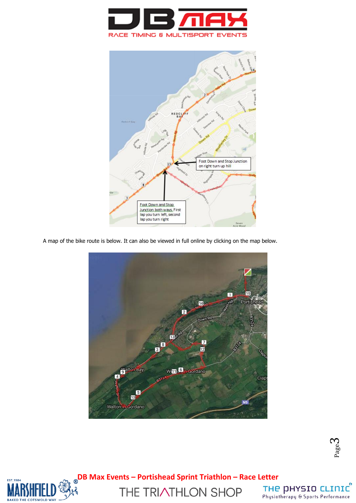



A map of the bike route is below. It can also be viewed in full online by clicking on the map below.



Page  $\infty$ 



**DB Max Events – Portishead Sprint Triathlon – Race Letter**

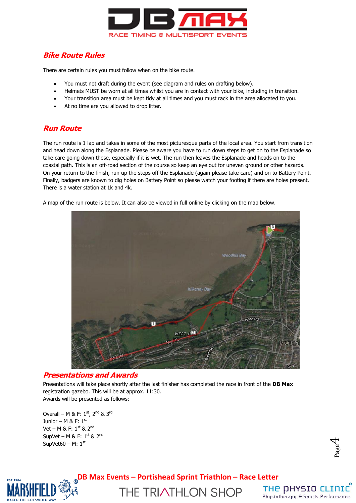

# **Bike Route Rules**

There are certain rules you must follow when on the bike route.

- You must not draft during the event (see diagram and rules on drafting below).
- Helmets MUST be worn at all times whilst you are in contact with your bike, including in transition.
- Your transition area must be kept tidy at all times and you must rack in the area allocated to you.
- At no time are you allowed to drop litter.

# **Run Route**

The run route is 1 lap and takes in some of the most picturesque parts of the local area. You start from transition and head down along the Esplanade. Please be aware you have to run down steps to get on to the Esplanade so take care going down these, especially if it is wet. The run then leaves the Esplanade and heads on to the coastal path. This is an off-road section of the course so keep an eye out for uneven ground or other hazards. On your return to the finish, run up the steps off the Esplanade (again please take care) and on to Battery Point. Finally, badgers are known to dig holes on Battery Point so please watch your footing if there are holes present. There is a water station at 1k and 4k.

A map of the run route is below. It can also be viewed in full online by clicking on the map below.



### **Presentations and Awards**

Presentations will take place shortly after the last finisher has completed the race in front of the **DB Max** registration gazebo. This will be at approx. 11:30. Awards will be presented as follows:

Overall – M & F:  $1^{st}$ ,  $2^{nd}$  &  $3^{rd}$ Junior – M & F:  $1^{\text{st}}$ Vet – M & F:  $1^{st}$  &  $2^{nd}$ SupVet – M & F:  $1<sup>st</sup>$  &  $2<sup>nd</sup>$ SupVet60 – M:  $1<sup>st</sup>$ 



**DB Max Events – Portishead Sprint Triathlon – Race Letter**



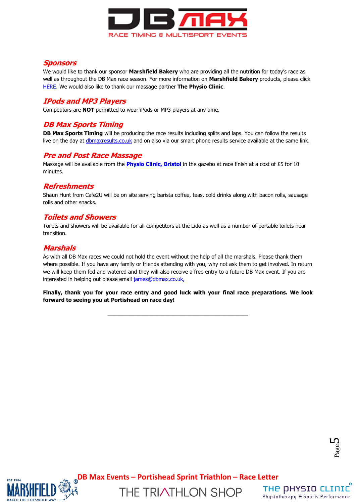

# **Sponsors**

We would like to thank our sponsor **Marshfield Bakery** who are providing all the nutrition for today's race as well as throughout the DB Max race season. For more information on **Marshfield Bakery** products, please click [HERE.](http://www.marshfieldbakery.co.uk/) We would also like to thank our massage partner **The Physio Clinic**.

# **IPods and MP3 Players**

Competitors are **NOT** permitted to wear iPods or MP3 players at any time.

# **DB Max Sports Timing**

**DB Max Sports Timing** will be producing the race results including splits and laps. You can follow the results live on the day at [dbmaxresults.co.uk](http://dbmaxresults.co.uk/results.aspx?CId=16421&RId=2116) and on also via our smart phone results service available at the same link.

### **Pre and Post Race Massage**

Massage will be available from the **[Physio Clinic, Bristol](http://www.thephysioclinicbristol.co.uk/)** in the gazebo at race finish at a cost of £5 for 10 minutes.

### **Refreshments**

Shaun Hunt from Cafe2U will be on site serving barista coffee, teas, cold drinks along with bacon rolls, sausage rolls and other snacks.

### **Toilets and Showers**

Toilets and showers will be available for all competitors at the Lido as well as a number of portable toilets near transition.

# **Marshals**

As with all DB Max races we could not hold the event without the help of all the marshals. Please thank them where possible. If you have any family or friends attending with you, why not ask them to get involved. In return we will keep them fed and watered and they will also receive a free entry to a future DB Max event. If you are interested in helping out please email [james@dbmax.co.uk,](mailto:james@dbmax.co.uk)

**Finally, thank you for your race entry and good luck with your final race preparations. We look forward to seeing you at Portishead on race day!**

**\_\_\_\_\_\_\_\_\_\_\_\_\_\_\_\_\_\_\_\_\_\_\_\_\_\_\_\_\_\_\_\_\_\_\_\_\_\_\_\_\_**





**DB Max Events – Portishead Sprint Triathlon – Race Letter**

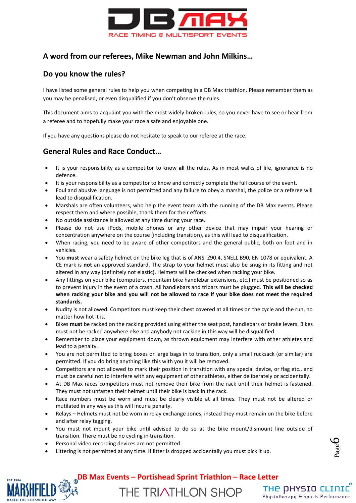

# **A word from our referees, Mike Newman and John Milkins…**

## **Do you know the rules?**

I have listed some general rules to help you when competing in a DB Max triathlon. Please remember them as you may be penalised, or even disqualified if you don't observe the rules.

This document aims to acquaint you with the most widely broken rules, so you never have to see or hear from a referee and to hopefully make your race a safe and enjoyable one.

If you have any questions please do not hesitate to speak to our referee at the race.

# **General Rules and Race Conduct…**

- It is your responsibility as a competitor to know **all** the rules. As in most walks of life, ignorance is no defence.
- It is your responsibility as a competitor to know and correctly complete the full course of the event.
- Foul and abusive language is not permitted and any failure to obey a marshal, the police or a referee will lead to disqualification.
- Marshals are often volunteers, who help the event team with the running of the DB Max events. Please respect them and where possible, thank them for their efforts.
- No outside assistance is allowed at any time during your race.
- Please do not use iPods, mobile phones or any other device that may impair your hearing or concentration anywhere on the course (including transition), as this will lead to disqualification.
- When racing, you need to be aware of other competitors and the general public, both on foot and in vehicles.
- You **must** wear a safety helmet on the bike leg that is of ANSI Z90.4, SNELL B90, EN 1078 or equivalent. A CE mark is **not** an approved standard. The strap to your helmet must also be snug in its fitting and not altered in any way (definitely not elastic). Helmets will be checked when racking your bike.
- Any fittings on your bike (computers, mountain bike handlebar extensions, etc.) must be positioned so as to prevent injury in the event of a crash. All handlebars and tribars must be plugged. **This will be checked when racking your bike and you will not be allowed to race if your bike does not meet the required standards.**
- Nudity is not allowed. Competitors must keep their chest covered at all times on the cycle and the run, no matter how hot it is.
- Bikes **must** be racked on the racking provided using either the seat post, handlebars or brake levers. Bikes must not be racked anywhere else and anybody not racking in this way will be disqualified.
- Remember to place your equipment down, as thrown equipment may interfere with other athletes and lead to a penalty.
- You are not permitted to bring boxes or large bags in to transition, only a small rucksack (or similar) are permitted. If you do bring anything like this with you it will be removed.
- Competitors are not allowed to mark their position in transition with any special device, or flag etc., and must be careful not to interfere with any equipment of other athletes, either deliberately or accidentally.
- At DB Max races competitors must not remove their bike from the rack until their helmet is fastened. They must not unfasten their helmet until their bike is back in the rack.
- Race numbers must be worn and must be clearly visible at all times. They must not be altered or mutilated in any way as this will incur a penalty.
- Relays Helmets must not be worn in relay exchange zones, instead they must remain on the bike before and after relay tagging.
- You must not mount your bike until advised to do so at the bike mount/dismount line outside of transition. There must be no cycling in transition.
- Personal video recording devices are not permitted.
- Littering is not permitted at any time. If litter is dropped accidentally you must pick it up.





**DB Max Events – Portishead Sprint Triathlon – Race Letter**

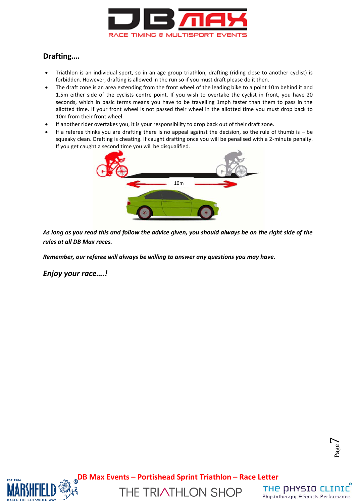

# **Drafting….**

- Triathlon is an individual sport, so in an age group triathlon, drafting (riding close to another cyclist) is forbidden. However, drafting is allowed in the run so if you must draft please do it then.
- The draft zone is an area extending from the front wheel of the leading bike to a point 10m behind it and 1.5m either side of the cyclists centre point. If you wish to overtake the cyclist in front, you have 20 seconds, which in basic terms means you have to be travelling 1mph faster than them to pass in the allotted time. If your front wheel is not passed their wheel in the allotted time you must drop back to 10m from their front wheel.
- If another rider overtakes you, it is your responsibility to drop back out of their draft zone.
- If a referee thinks you are drafting there is no appeal against the decision, so the rule of thumb is be squeaky clean. Drafting is cheating. If caught drafting once you will be penalised with a 2-minute penalty. If you get caught a second time you will be disqualified.



*As long as you read this and follow the advice given, you should always be on the right side of the rules at all DB Max races.*

*Remember, our referee will always be willing to answer any questions you may have.*

*Enjoy your race….!*

Page  $\overline{\phantom{a}}$ 



**DB Max Events – Portishead Sprint Triathlon – Race Letter**